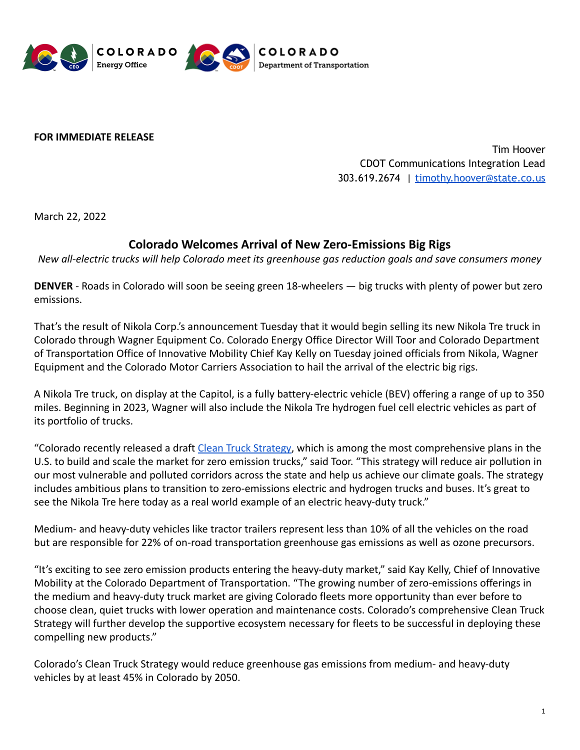

**FOR IMMEDIATE RELEASE**

Tim Hoover CDOT Communications Integration Lead 303.619.2674 | [timothy.hoover@state.co.us](mailto:timothy.hoover@state.co.us)

March 22, 2022

## **Colorado Welcomes Arrival of New Zero-Emissions Big Rigs**

*New all-electric trucks will help Colorado meet its greenhouse gas reduction goals and save consumers money*

**DENVER** - Roads in Colorado will soon be seeing green 18-wheelers — big trucks with plenty of power but zero emissions.

That's the result of Nikola Corp.'s announcement Tuesday that it would begin selling its new Nikola Tre truck in Colorado through Wagner Equipment Co. Colorado Energy Office Director Will Toor and Colorado Department of Transportation Office of Innovative Mobility Chief Kay Kelly on Tuesday joined officials from Nikola, Wagner Equipment and the Colorado Motor Carriers Association to hail the arrival of the electric big rigs.

A Nikola Tre truck, on display at the Capitol, is a fully battery-electric vehicle (BEV) offering a range of up to 350 miles. Beginning in 2023, Wagner will also include the Nikola Tre hydrogen fuel cell electric vehicles as part of its portfolio of trucks.

"Colorado recently released a draft [Clean Truck Strategy,](https://sites.google.com/state.co.us/cotriporgfreight/clean-truck-strategy) which is among the most comprehensive plans in the U.S. to build and scale the market for zero emission trucks," said Toor. "This strategy will reduce air pollution in our most vulnerable and polluted corridors across the state and help us achieve our climate goals. The strategy includes ambitious plans to transition to zero-emissions electric and hydrogen trucks and buses. It's great to see the Nikola Tre here today as a real world example of an electric heavy-duty truck."

Medium- and heavy-duty vehicles like tractor trailers represent less than 10% of all the vehicles on the road but are responsible for 22% of on-road transportation greenhouse gas emissions as well as ozone precursors.

"It's exciting to see zero emission products entering the heavy-duty market," said Kay Kelly, Chief of Innovative Mobility at the Colorado Department of Transportation. "The growing number of zero-emissions offerings in the medium and heavy-duty truck market are giving Colorado fleets more opportunity than ever before to choose clean, quiet trucks with lower operation and maintenance costs. Colorado's comprehensive Clean Truck Strategy will further develop the supportive ecosystem necessary for fleets to be successful in deploying these compelling new products."

Colorado's Clean Truck Strategy would reduce greenhouse gas emissions from medium- and heavy-duty vehicles by at least 45% in Colorado by 2050.